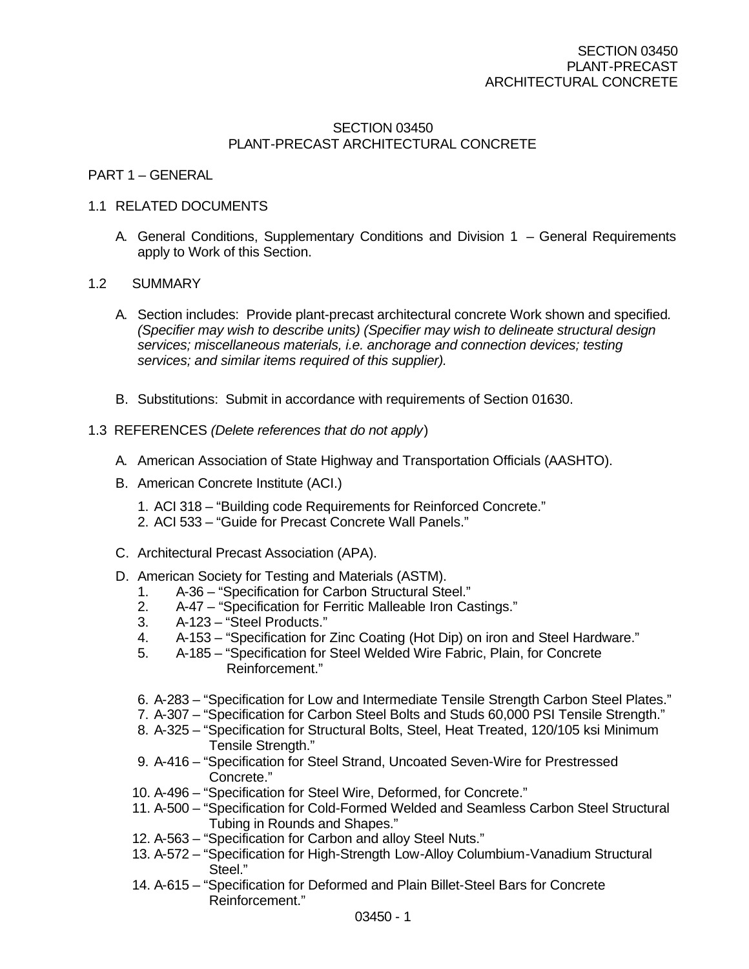# SECTION 03450 PLANT-PRECAST ARCHITECTURAL CONCRETE

## PART 1 – GENERAL

## 1.1 RELATED DOCUMENTS

A. General Conditions, Supplementary Conditions and Division 1 – General Requirements apply to Work of this Section.

## 1.2 SUMMARY

- A. Section includes: Provide plant-precast architectural concrete Work shown and specified*. (Specifier may wish to describe units) (Specifier may wish to delineate structural design services; miscellaneous materials, i.e. anchorage and connection devices; testing services; and similar items required of this supplier).*
- B. Substitutions: Submit in accordance with requirements of Section 01630.

## 1.3 REFERENCES *(Delete references that do not apply*)

- A. American Association of State Highway and Transportation Officials (AASHTO).
- B. American Concrete Institute (ACI.)
	- 1. ACI 318 "Building code Requirements for Reinforced Concrete."
	- 2. ACI 533 "Guide for Precast Concrete Wall Panels."
- C. Architectural Precast Association (APA).
- D. American Society for Testing and Materials (ASTM).
	- 1. A-36 "Specification for Carbon Structural Steel."<br>2. A-47 "Specification for Ferritic Malleable Iron Ca
	- 2. A-47 "Specification for Ferritic Malleable Iron Castings."
	- 3. A-123 "Steel Products."
	- 4. A-153 "Specification for Zinc Coating (Hot Dip) on iron and Steel Hardware."
	- 5. A-185 "Specification for Steel Welded Wire Fabric, Plain, for Concrete Reinforcement."
	- 6. A-283 "Specification for Low and Intermediate Tensile Strength Carbon Steel Plates."
	- 7. A-307 "Specification for Carbon Steel Bolts and Studs 60,000 PSI Tensile Strength."
	- 8. A-325 "Specification for Structural Bolts, Steel, Heat Treated, 120/105 ksi Minimum Tensile Strength."
	- 9. A-416 "Specification for Steel Strand, Uncoated Seven-Wire for Prestressed Concrete."
	- 10. A-496 "Specification for Steel Wire, Deformed, for Concrete."
	- 11. A-500 "Specification for Cold-Formed Welded and Seamless Carbon Steel Structural Tubing in Rounds and Shapes."
	- 12. A-563 "Specification for Carbon and alloy Steel Nuts."
	- 13. A-572 "Specification for High-Strength Low-Alloy Columbium-Vanadium Structural Steel."
	- 14. A-615 "Specification for Deformed and Plain Billet-Steel Bars for Concrete Reinforcement."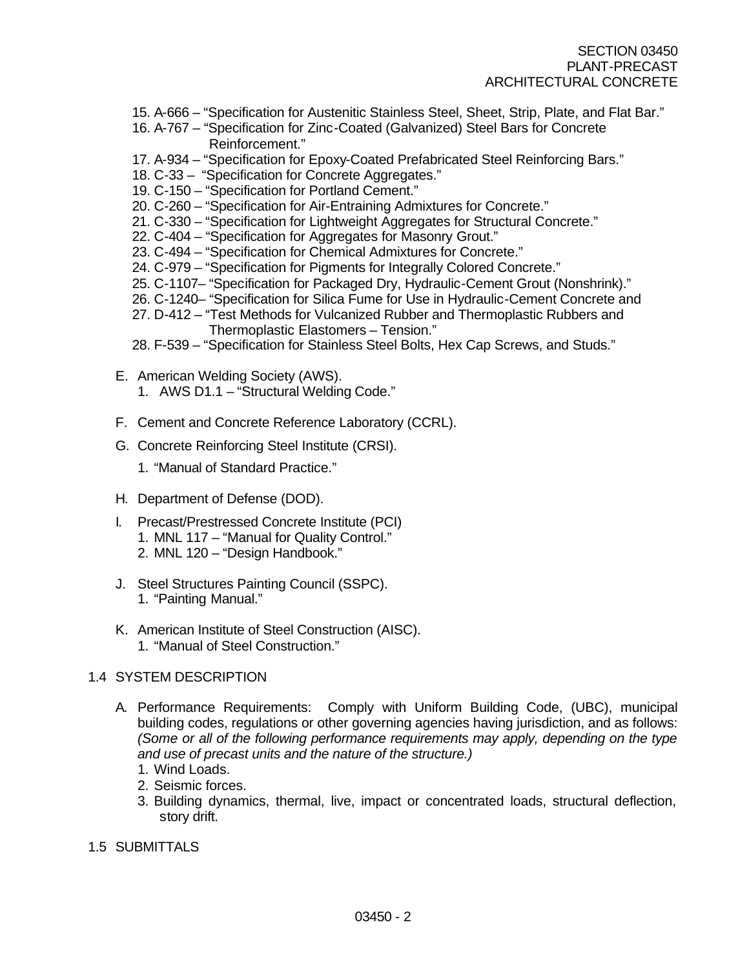- 15. A-666 "Specification for Austenitic Stainless Steel, Sheet, Strip, Plate, and Flat Bar."
- 16. A-767 "Specification for Zinc-Coated (Galvanized) Steel Bars for Concrete Reinforcement."
- 17. A-934 "Specification for Epoxy-Coated Prefabricated Steel Reinforcing Bars."
- 18. C-33 "Specification for Concrete Aggregates."
- 19. C-150 "Specification for Portland Cement."
- 20. C-260 "Specification for Air-Entraining Admixtures for Concrete."
- 21. C-330 "Specification for Lightweight Aggregates for Structural Concrete."
- 22. C-404 "Specification for Aggregates for Masonry Grout."
- 23. C-494 "Specification for Chemical Admixtures for Concrete."
- 24. C-979 "Specification for Pigments for Integrally Colored Concrete."
- 25. C-1107– "Specification for Packaged Dry, Hydraulic-Cement Grout (Nonshrink)."
- 26. C-1240– "Specification for Silica Fume for Use in Hydraulic-Cement Concrete and
- 27. D-412 "Test Methods for Vulcanized Rubber and Thermoplastic Rubbers and
	- Thermoplastic Elastomers Tension."
- 28. F-539 "Specification for Stainless Steel Bolts, Hex Cap Screws, and Studs."
- E. American Welding Society (AWS).
	- 1. AWS D1.1 "Structural Welding Code."
- F. Cement and Concrete Reference Laboratory (CCRL).
- G. Concrete Reinforcing Steel Institute (CRSI).
	- 1. "Manual of Standard Practice."
- H. Department of Defense (DOD).
- I. Precast/Prestressed Concrete Institute (PCI) 1. MNL 117 – "Manual for Quality Control." 2. MNL 120 – "Design Handbook."
- J. Steel Structures Painting Council (SSPC). 1. "Painting Manual."
- K. American Institute of Steel Construction (AISC). 1. "Manual of Steel Construction."

# 1.4 SYSTEM DESCRIPTION

- A. Performance Requirements: Comply with Uniform Building Code, (UBC), municipal building codes, regulations or other governing agencies having jurisdiction, and as follows: *(Some or all of the following performance requirements may apply, depending on the type and use of precast units and the nature of the structure.)*
	- 1. Wind Loads.
	- 2. Seismic forces.
	- 3. Building dynamics, thermal, live, impact or concentrated loads, structural deflection, story drift.
- 1.5 SUBMITTALS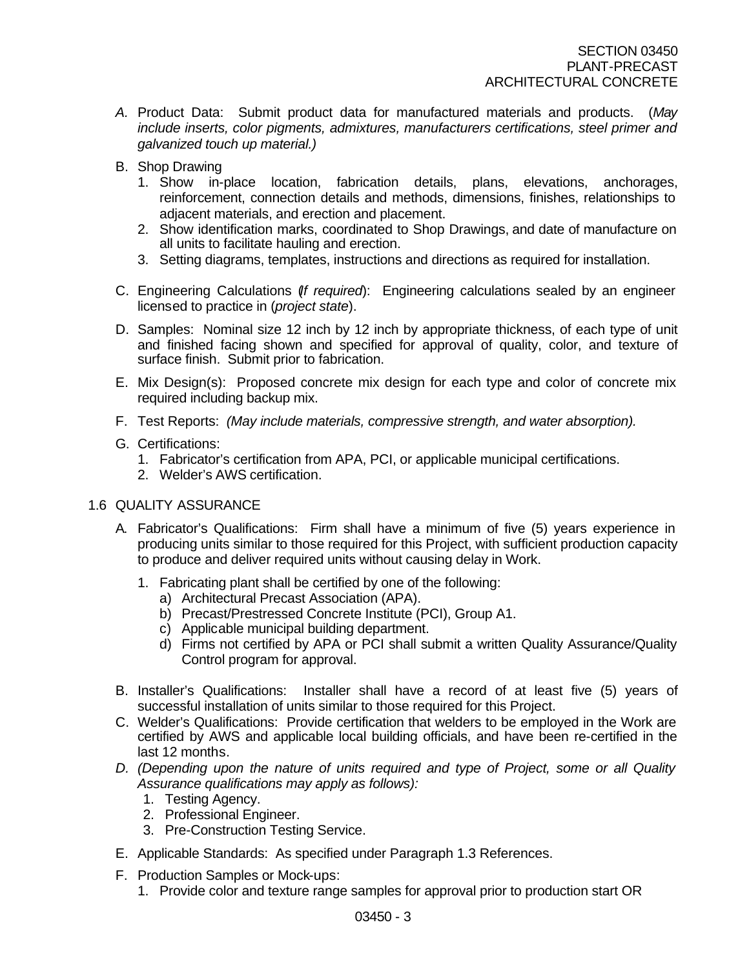- *A.* Product Data: Submit product data for manufactured materials and products. (*May include inserts, color pigments, admixtures, manufacturers certifications, steel primer and galvanized touch up material.)*
- B. Shop Drawing
	- 1. Show in-place location, fabrication details, plans, elevations, anchorages, reinforcement, connection details and methods, dimensions, finishes, relationships to adjacent materials, and erection and placement.
	- 2. Show identification marks, coordinated to Shop Drawings, and date of manufacture on all units to facilitate hauling and erection.
	- 3. Setting diagrams, templates, instructions and directions as required for installation.
- C. Engineering Calculations (*If required*): Engineering calculations sealed by an engineer licensed to practice in (*project state*).
- D. Samples: Nominal size 12 inch by 12 inch by appropriate thickness, of each type of unit and finished facing shown and specified for approval of quality, color, and texture of surface finish. Submit prior to fabrication.
- E. Mix Design(s): Proposed concrete mix design for each type and color of concrete mix required including backup mix.
- F. Test Reports: *(May include materials, compressive strength, and water absorption).*
- G. Certifications:
	- 1. Fabricator's certification from APA, PCI, or applicable municipal certifications.
	- 2. Welder's AWS certification.
- 1.6 QUALITY ASSURANCE
	- A. Fabricator's Qualifications: Firm shall have a minimum of five (5) years experience in producing units similar to those required for this Project, with sufficient production capacity to produce and deliver required units without causing delay in Work.
		- 1. Fabricating plant shall be certified by one of the following:
			- a) Architectural Precast Association (APA).
			- b) Precast/Prestressed Concrete Institute (PCI), Group A1.
			- c) Applicable municipal building department.
			- d) Firms not certified by APA or PCI shall submit a written Quality Assurance/Quality Control program for approval.
	- B. Installer's Qualifications: Installer shall have a record of at least five (5) years of successful installation of units similar to those required for this Project.
	- C. Welder's Qualifications: Provide certification that welders to be employed in the Work are certified by AWS and applicable local building officials, and have been re-certified in the last 12 months.
	- *D. (Depending upon the nature of units required and type of Project, some or all Quality Assurance qualifications may apply as follows):*
		- 1. Testing Agency.
		- 2. Professional Engineer.
		- 3. Pre-Construction Testing Service.
	- E. Applicable Standards: As specified under Paragraph 1.3 References.
	- F. Production Samples or Mock-ups:
		- 1. Provide color and texture range samples for approval prior to production start OR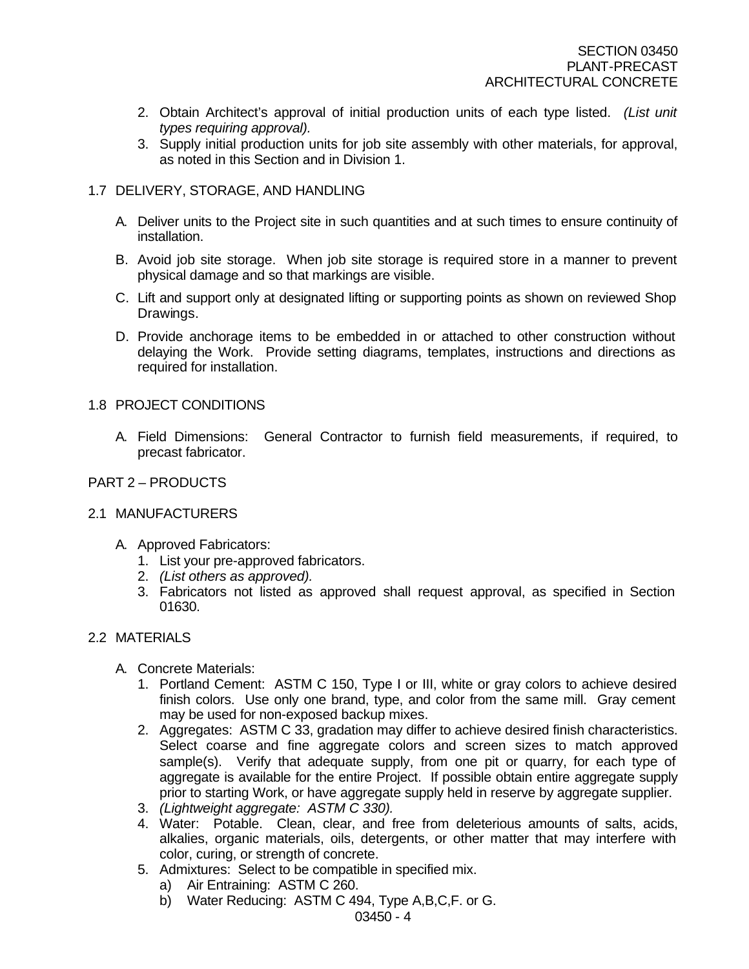- 2. Obtain Architect's approval of initial production units of each type listed. *(List unit types requiring approval).*
- 3. Supply initial production units for job site assembly with other materials, for approval, as noted in this Section and in Division 1.

## 1.7 DELIVERY, STORAGE, AND HANDLING

- A. Deliver units to the Project site in such quantities and at such times to ensure continuity of installation.
- B. Avoid job site storage. When job site storage is required store in a manner to prevent physical damage and so that markings are visible.
- C. Lift and support only at designated lifting or supporting points as shown on reviewed Shop Drawings.
- D. Provide anchorage items to be embedded in or attached to other construction without delaying the Work. Provide setting diagrams, templates, instructions and directions as required for installation.

## 1.8 PROJECT CONDITIONS

A. Field Dimensions: General Contractor to furnish field measurements, if required, to precast fabricator.

## PART 2 – PRODUCTS

#### 2.1 MANUFACTURERS

- A. Approved Fabricators:
	- 1. List your pre-approved fabricators.
	- 2. *(List others as approved).*
	- 3. Fabricators not listed as approved shall request approval, as specified in Section 01630.

#### 2.2 MATERIALS

- A. Concrete Materials:
	- 1. Portland Cement: ASTM C 150, Type I or III, white or gray colors to achieve desired finish colors. Use only one brand, type, and color from the same mill. Gray cement may be used for non-exposed backup mixes.
	- 2. Aggregates: ASTM C 33, gradation may differ to achieve desired finish characteristics. Select coarse and fine aggregate colors and screen sizes to match approved sample(s). Verify that adequate supply, from one pit or quarry, for each type of aggregate is available for the entire Project. If possible obtain entire aggregate supply prior to starting Work, or have aggregate supply held in reserve by aggregate supplier.
	- 3. *(Lightweight aggregate: ASTM C 330).*
	- 4. Water: Potable. Clean, clear, and free from deleterious amounts of salts, acids, alkalies, organic materials, oils, detergents, or other matter that may interfere with color, curing, or strength of concrete.
	- 5. Admixtures: Select to be compatible in specified mix.
		- a) Air Entraining: ASTM C 260.
		- b) Water Reducing: ASTM C 494, Type A,B,C,F. or G.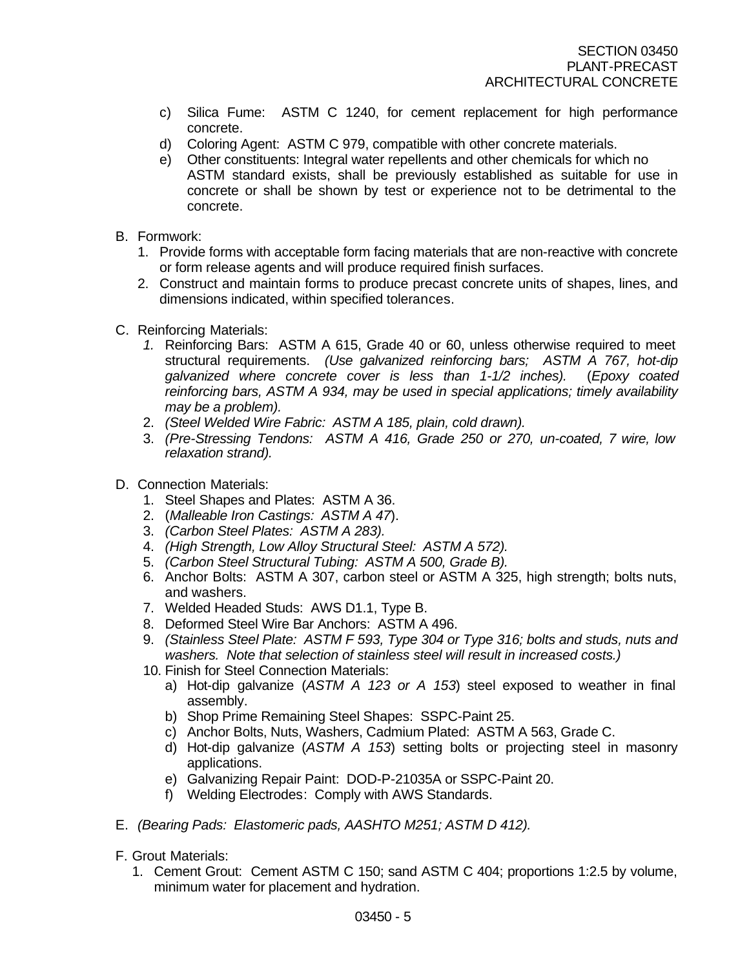- c) Silica Fume: ASTM C 1240, for cement replacement for high performance concrete.
- d) Coloring Agent: ASTM C 979, compatible with other concrete materials.
- e) Other constituents: Integral water repellents and other chemicals for which no ASTM standard exists, shall be previously established as suitable for use in concrete or shall be shown by test or experience not to be detrimental to the concrete.
- B. Formwork:
	- 1. Provide forms with acceptable form facing materials that are non-reactive with concrete or form release agents and will produce required finish surfaces.
	- 2. Construct and maintain forms to produce precast concrete units of shapes, lines, and dimensions indicated, within specified tolerances.
- C. Reinforcing Materials:
	- *1.* Reinforcing Bars: ASTM A 615, Grade 40 or 60, unless otherwise required to meet structural requirements. *(Use galvanized reinforcing bars; ASTM A 767, hot-dip galvanized where concrete cover is less than 1-1/2 inches).* (*Epoxy coated reinforcing bars, ASTM A 934, may be used in special applications; timely availability may be a problem).*
	- 2. *(Steel Welded Wire Fabric: ASTM A 185, plain, cold drawn).*
	- 3. *(Pre-Stressing Tendons: ASTM A 416, Grade 250 or 270, un-coated, 7 wire, low relaxation strand).*
- D. Connection Materials:
	- 1. Steel Shapes and Plates: ASTM A 36.
	- 2. (*Malleable Iron Castings: ASTM A 47*).
	- 3. *(Carbon Steel Plates: ASTM A 283).*
	- 4. *(High Strength, Low Alloy Structural Steel: ASTM A 572).*
	- 5. *(Carbon Steel Structural Tubing: ASTM A 500, Grade B).*
	- 6. Anchor Bolts: ASTM A 307, carbon steel or ASTM A 325, high strength; bolts nuts, and washers.
	- 7. Welded Headed Studs: AWS D1.1, Type B.
	- 8. Deformed Steel Wire Bar Anchors: ASTM A 496.
	- 9. *(Stainless Steel Plate: ASTM F 593, Type 304 or Type 316; bolts and studs, nuts and washers. Note that selection of stainless steel will result in increased costs.)*
	- 10. Finish for Steel Connection Materials:
		- a) Hot-dip galvanize (*ASTM A 123 or A 153*) steel exposed to weather in final assembly.
		- b) Shop Prime Remaining Steel Shapes: SSPC-Paint 25.
		- c) Anchor Bolts, Nuts, Washers, Cadmium Plated: ASTM A 563, Grade C.
		- d) Hot-dip galvanize (*ASTM A 153*) setting bolts or projecting steel in masonry applications.
		- e) Galvanizing Repair Paint: DOD-P-21035A or SSPC-Paint 20.
		- f) Welding Electrodes: Comply with AWS Standards.
- E. *(Bearing Pads: Elastomeric pads, AASHTO M251; ASTM D 412).*
- F. Grout Materials:
	- 1. Cement Grout: Cement ASTM C 150; sand ASTM C 404; proportions 1:2.5 by volume, minimum water for placement and hydration.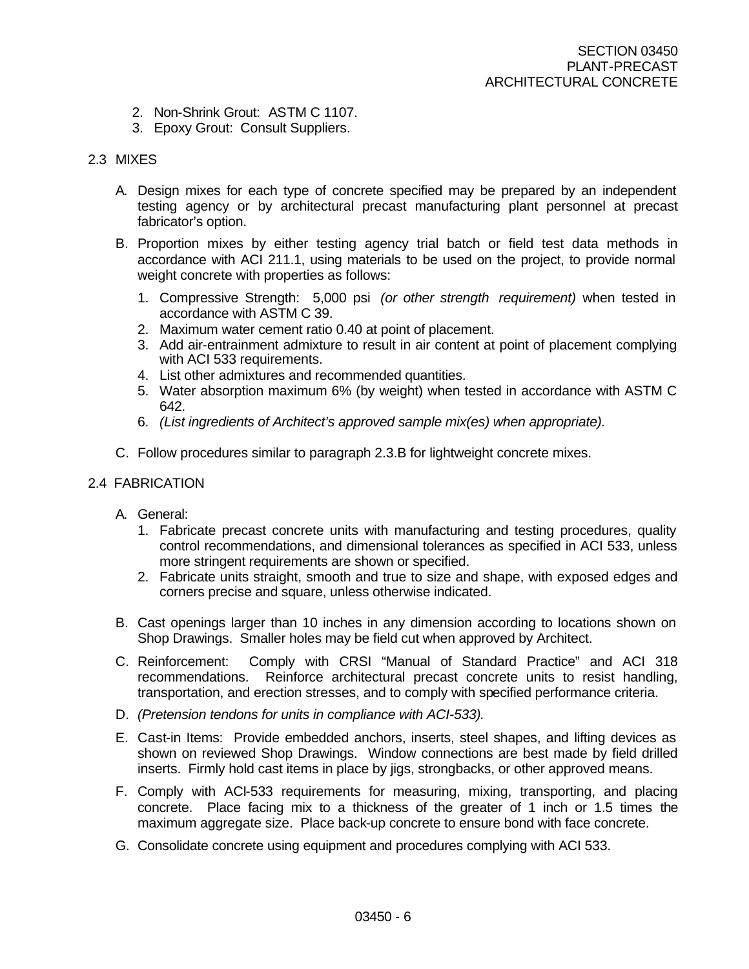- 2. Non-Shrink Grout: ASTM C 1107.
- 3. Epoxy Grout: Consult Suppliers.

#### 2.3 MIXES

- A. Design mixes for each type of concrete specified may be prepared by an independent testing agency or by architectural precast manufacturing plant personnel at precast fabricator's option.
- B. Proportion mixes by either testing agency trial batch or field test data methods in accordance with ACI 211.1, using materials to be used on the project, to provide normal weight concrete with properties as follows:
	- 1. Compressive Strength: 5,000 psi *(or other strength requirement)* when tested in accordance with ASTM C 39.
	- 2. Maximum water cement ratio 0.40 at point of placement.
	- 3. Add air-entrainment admixture to result in air content at point of placement complying with ACI 533 requirements.
	- 4. List other admixtures and recommended quantities.
	- 5. Water absorption maximum 6% (by weight) when tested in accordance with ASTM C 642.
	- 6. *(List ingredients of Architect's approved sample mix(es) when appropriate).*
- C. Follow procedures similar to paragraph 2.3.B for lightweight concrete mixes.

### 2.4 FABRICATION

- A. General:
	- 1. Fabricate precast concrete units with manufacturing and testing procedures, quality control recommendations, and dimensional tolerances as specified in ACI 533, unless more stringent requirements are shown or specified.
	- 2. Fabricate units straight, smooth and true to size and shape, with exposed edges and corners precise and square, unless otherwise indicated.
- B. Cast openings larger than 10 inches in any dimension according to locations shown on Shop Drawings. Smaller holes may be field cut when approved by Architect.
- C. Reinforcement: Comply with CRSI "Manual of Standard Practice" and ACI 318 recommendations. Reinforce architectural precast concrete units to resist handling, transportation, and erection stresses, and to comply with specified performance criteria.
- D. *(Pretension tendons for units in compliance with ACI-533).*
- E. Cast-in Items: Provide embedded anchors, inserts, steel shapes, and lifting devices as shown on reviewed Shop Drawings. Window connections are best made by field drilled inserts. Firmly hold cast items in place by jigs, strongbacks, or other approved means.
- F. Comply with ACI-533 requirements for measuring, mixing, transporting, and placing concrete. Place facing mix to a thickness of the greater of 1 inch or 1.5 times the maximum aggregate size. Place back-up concrete to ensure bond with face concrete.
- G. Consolidate concrete using equipment and procedures complying with ACI 533.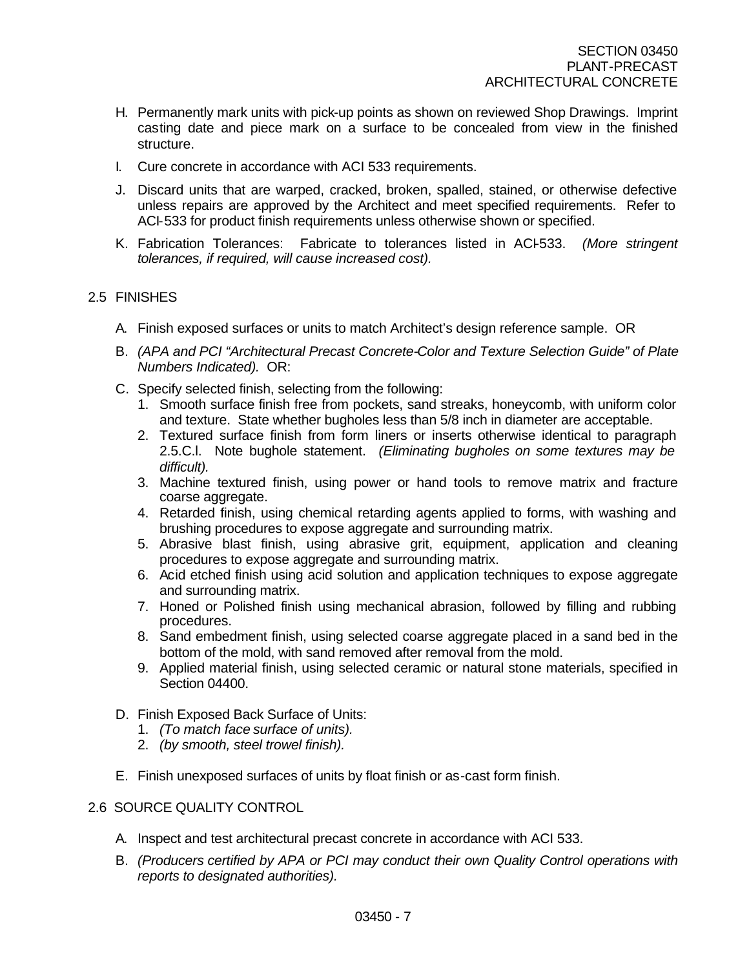- H. Permanently mark units with pick-up points as shown on reviewed Shop Drawings. Imprint casting date and piece mark on a surface to be concealed from view in the finished structure.
- I. Cure concrete in accordance with ACI 533 requirements.
- J. Discard units that are warped, cracked, broken, spalled, stained, or otherwise defective unless repairs are approved by the Architect and meet specified requirements. Refer to ACI-533 for product finish requirements unless otherwise shown or specified.
- K. Fabrication Tolerances: Fabricate to tolerances listed in ACI-533. *(More stringent tolerances, if required, will cause increased cost).*

## 2.5 FINISHES

- A. Finish exposed surfaces or units to match Architect's design reference sample. OR
- B. *(APA and PCI "Architectural Precast Concrete-Color and Texture Selection Guide" of Plate Numbers Indicated).* OR:
- C. Specify selected finish, selecting from the following:
	- 1. Smooth surface finish free from pockets, sand streaks, honeycomb, with uniform color and texture. State whether bugholes less than 5/8 inch in diameter are acceptable.
	- 2. Textured surface finish from form liners or inserts otherwise identical to paragraph 2.5.C.l. Note bughole statement. *(Eliminating bugholes on some textures may be difficult).*
	- 3. Machine textured finish, using power or hand tools to remove matrix and fracture coarse aggregate.
	- 4. Retarded finish, using chemical retarding agents applied to forms, with washing and brushing procedures to expose aggregate and surrounding matrix.
	- 5. Abrasive blast finish, using abrasive grit, equipment, application and cleaning procedures to expose aggregate and surrounding matrix.
	- 6. Acid etched finish using acid solution and application techniques to expose aggregate and surrounding matrix.
	- 7. Honed or Polished finish using mechanical abrasion, followed by filling and rubbing procedures.
	- 8. Sand embedment finish, using selected coarse aggregate placed in a sand bed in the bottom of the mold, with sand removed after removal from the mold.
	- 9. Applied material finish, using selected ceramic or natural stone materials, specified in Section 04400.
- D. Finish Exposed Back Surface of Units:
	- 1. *(To match face surface of units).*
	- 2. *(by smooth, steel trowel finish).*
- E. Finish unexposed surfaces of units by float finish or as-cast form finish.

# 2.6 SOURCE QUALITY CONTROL

- A. Inspect and test architectural precast concrete in accordance with ACI 533.
- B. *(Producers certified by APA or PCI may conduct their own Quality Control operations with reports to designated authorities).*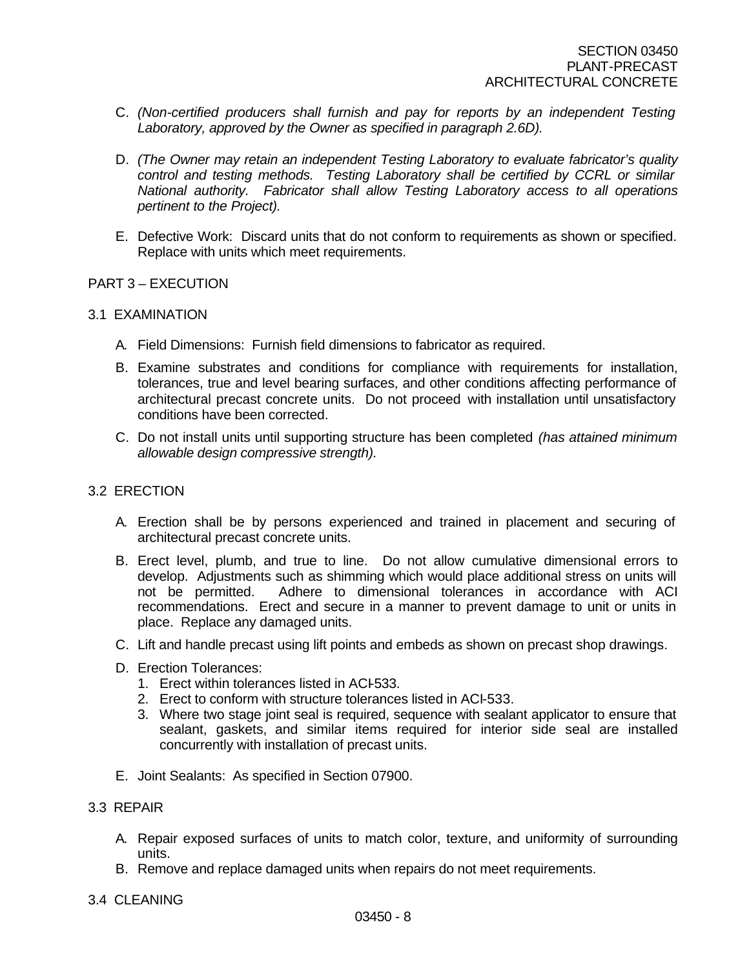- C. *(Non-certified producers shall furnish and pay for reports by an independent Testing Laboratory, approved by the Owner as specified in paragraph 2.6D).*
- D. *(The Owner may retain an independent Testing Laboratory to evaluate fabricator's quality control and testing methods. Testing Laboratory shall be certified by CCRL or similar National authority. Fabricator shall allow Testing Laboratory access to all operations pertinent to the Project).*
- E. Defective Work: Discard units that do not conform to requirements as shown or specified. Replace with units which meet requirements.

## PART 3 – EXECUTION

## 3.1 EXAMINATION

- A. Field Dimensions: Furnish field dimensions to fabricator as required.
- B. Examine substrates and conditions for compliance with requirements for installation, tolerances, true and level bearing surfaces, and other conditions affecting performance of architectural precast concrete units. Do not proceed with installation until unsatisfactory conditions have been corrected.
- C. Do not install units until supporting structure has been completed *(has attained minimum allowable design compressive strength).*

## 3.2 ERECTION

- A. Erection shall be by persons experienced and trained in placement and securing of architectural precast concrete units.
- B. Erect level, plumb, and true to line. Do not allow cumulative dimensional errors to develop. Adjustments such as shimming which would place additional stress on units will not be permitted. Adhere to dimensional tolerances in accordance with ACI recommendations. Erect and secure in a manner to prevent damage to unit or units in place. Replace any damaged units.
- C. Lift and handle precast using lift points and embeds as shown on precast shop drawings.
- D. Erection Tolerances:
	- 1. Erect within tolerances listed in ACI-533.
	- 2. Erect to conform with structure tolerances listed in ACI-533.
	- 3. Where two stage joint seal is required, sequence with sealant applicator to ensure that sealant, gaskets, and similar items required for interior side seal are installed concurrently with installation of precast units.
- E. Joint Sealants: As specified in Section 07900.

# 3.3 REPAIR

- A. Repair exposed surfaces of units to match color, texture, and uniformity of surrounding units.
- B. Remove and replace damaged units when repairs do not meet requirements.
- 3.4 CLEANING